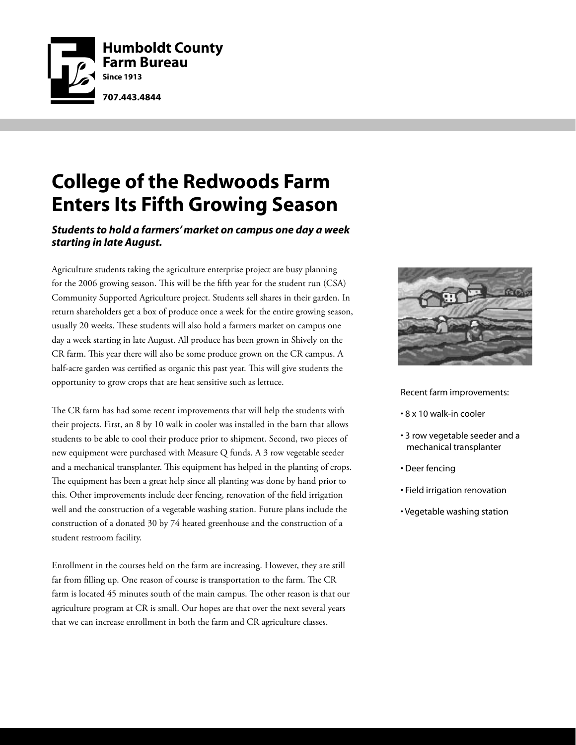

## **College of the Redwoods Farm Enters Its Fifth Growing Season**

#### *Students to hold a farmers' market on campus one day a week starting in late August.*

Agriculture students taking the agriculture enterprise project are busy planning for the 2006 growing season. This will be the fifth year for the student run (CSA) Community Supported Agriculture project. Students sell shares in their garden. In return shareholders get a box of produce once a week for the entire growing season, usually 20 weeks. These students will also hold a farmers market on campus one day a week starting in late August. All produce has been grown in Shively on the CR farm. This year there will also be some produce grown on the CR campus. A half-acre garden was certified as organic this past year. This will give students the opportunity to grow crops that are heat sensitive such as lettuce.

The CR farm has had some recent improvements that will help the students with their projects. First, an 8 by 10 walk in cooler was installed in the barn that allows students to be able to cool their produce prior to shipment. Second, two pieces of new equipment were purchased with Measure Q funds. A 3 row vegetable seeder and a mechanical transplanter. This equipment has helped in the planting of crops. The equipment has been a great help since all planting was done by hand prior to this. Other improvements include deer fencing, renovation of the field irrigation well and the construction of a vegetable washing station. Future plans include the construction of a donated 30 by 74 heated greenhouse and the construction of a student restroom facility.

Enrollment in the courses held on the farm are increasing. However, they are still far from filling up. One reason of course is transportation to the farm. The CR farm is located 45 minutes south of the main campus. The other reason is that our agriculture program at CR is small. Our hopes are that over the next several years that we can increase enrollment in both the farm and CR agriculture classes.



Recent farm improvements:

- 8 x 10 walk-in cooler
- 3 row vegetable seeder and a mechanical transplanter
- Deer fencing
- Field irrigation renovation
- Vegetable washing station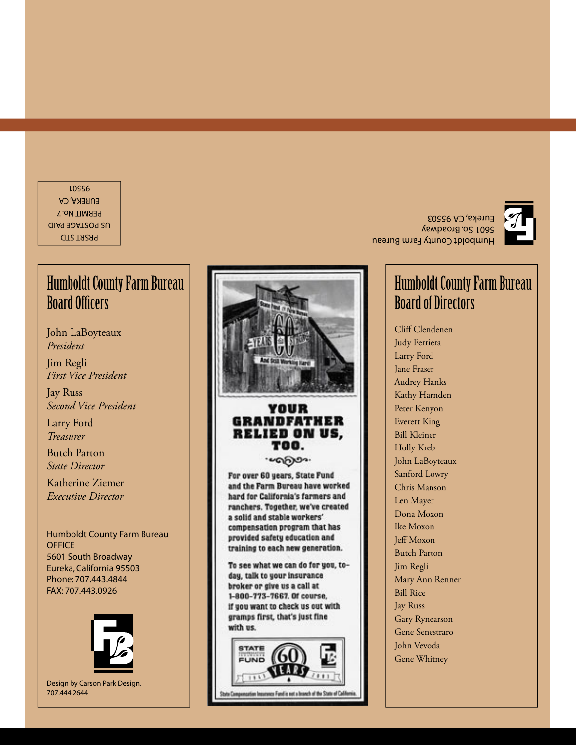PRSRT STD US POSTAGE PAID PERMIT No. 7 EUREKA, CA 95501

#### Humboldt County Farm Bureau **Board Officers**

John LaBoyteaux *President*

Jim Regli *First Vice President*

Jay Russ *Second Vice President*

Larry Ford *Treasurer*

Butch Parton *State Director*

Katherine Ziemer *Executive Director*

Humboldt County Farm Bureau **OFFICE** 5601 South Broadway Eureka, California 9550 3 Phone: 707.443.4844 FAX: 707.443.0926



Design by Carson Park Design. 707.444.2644



#### YOUR **GRANDFATHER RELIED ON US.** TOO. . എ്രാം.

For over 60 years, State Fund and the Farm Bureau have worked hard for California's farmers and ranchers. Together, we've created a solid and stable workers' compensation program that has provided safety education and training to each new generation.

To see what we can do for you, today, talk to your insurance broker or give us a call at 1-800-773-7667. Of course, if you want to check us out with gramps first, that's just fine with us.



Humboldt County Farm Bureau 5601 So. Broadway Eureka, CA 95503



#### Humboldt County Farm Bureau Board of Directors

Cliff Clendenen Judy Ferriera Larry Ford Jane Fraser Audrey Hanks Kathy Harnden Peter Kenyon Everett King Bill Kleiner Holly Kreb John LaBoyteaux Sanford Lowry Chris Manson Len Mayer Dona Moxon Ike Moxon Jeff Moxon Butch Parton Jim Regli Mary Ann Renner Bill Rice Jay Russ Gary Rynearson Gene Senestraro John Vevoda Gene Whitney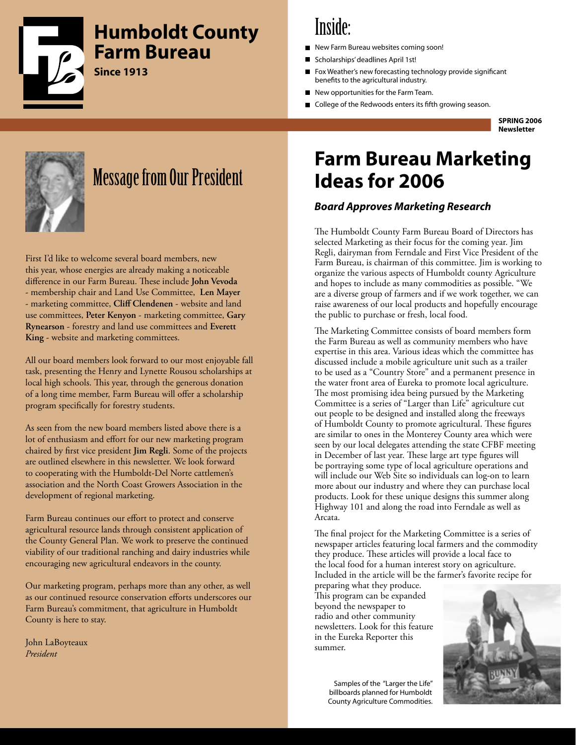

#### **Humboldt County Farm Bureau**

**Since 1913**

## Inside:

- New Farm Bureau websites coming soon!
- Scholarships' deadlines April 1st!
- Fox Weather's new forecasting technology provide significant benefits to the agricultural industry.
- New opportunities for the Farm Team.
- College of the Redwoods enters its fifth growing season.

**SPRING 2006 Newsletter**



## Message from Our President

First I'd like to welcome several board members, new this year, whose energies are already making a noticeable difference in our Farm Bureau. These include John Vevoda - membership chair and Land Use Committee, **Len Mayer** - marketing committee, **Cliff Clendenen** - website and land use committees, **Peter Kenyon** - marketing committee, **Gary Rynearson** - forestry and land use committees and **Everett King** - website and marketing committees.

All our board members look forward to our most enjoyable fall task, presenting the Henry and Lynette Rousou scholarships at local high schools. This year, through the generous donation of a long time member, Farm Bureau will offer a scholarship program specifically for forestry students.

As seen from the new board members listed above there is a lot of enthusiasm and effort for our new marketing program chaired by first vice president **Jim Regli**. Some of the projects are outlined elsewhere in this newsletter. We look forward to cooperating with the Humboldt-Del Norte cattlemen's association and the North Coast Growers Association in the development of regional marketing.

Farm Bureau continues our effort to protect and conserve agricultural resource lands through consistent application of the County General Plan. We work to preserve the continued viability of our traditional ranching and dairy industries while encouraging new agricultural endeavors in the county.

Our marketing program, perhaps more than any other, as well as our continued resource conservation efforts underscores our Farm Bureau's commitment, that agriculture in Humboldt County is here to stay.

John LaBoyteaux *President*

## **Farm Bureau Marketing Ideas for 2006**

#### *Board Approves Marketing Research*

The Humboldt County Farm Bureau Board of Directors has selected Marketing as their focus for the coming year. Jim Regli, dairyman from Ferndale and First Vice President of the Farm Bureau, is chairman of this committee. Jim is working to organize the various aspects of Humboldt county Agriculture and hopes to include as many commodities as possible. "We are a diverse group of farmers and if we work together, we can raise awareness of our local products and hopefully encourage the public to purchase or fresh, local food.

The Marketing Committee consists of board members form the Farm Bureau as well as community members who have expertise in this area. Various ideas which the committee has discussed include a mobile agriculture unit such as a trailer to be used as a "Country Store" and a permanent presence in the water front area of Eureka to promote local agriculture. The most promising idea being pursued by the Marketing Committee is a series of "Larger than Life" agriculture cut out people to be designed and installed along the freeways of Humboldt County to promote agricultural. These figures are similar to ones in the Monterey County area which were seen by our local delegates attending the state CFBF meeting in December of last year. These large art type figures will be portraying some type of local agriculture operations and will include our Web Site so individuals can log-on to learn more about our industry and where they can purchase local products. Look for these unique designs this summer along Highway 101 and along the road into Ferndale as well as Arcata.

The final project for the Marketing Committee is a series of newspaper articles featuring local farmers and the commodity they produce. These articles will provide a local face to the local food for a human interest story on agriculture. Included in the article will be the farmer's favorite recipe for

preparing what they produce. This program can be expanded beyond the newspaper to radio and other community newsletters. Look for this feature in the Eureka Reporter this summer.



Samples of the "Larger the Life" billboards planned for Humboldt County Agriculture Commodities.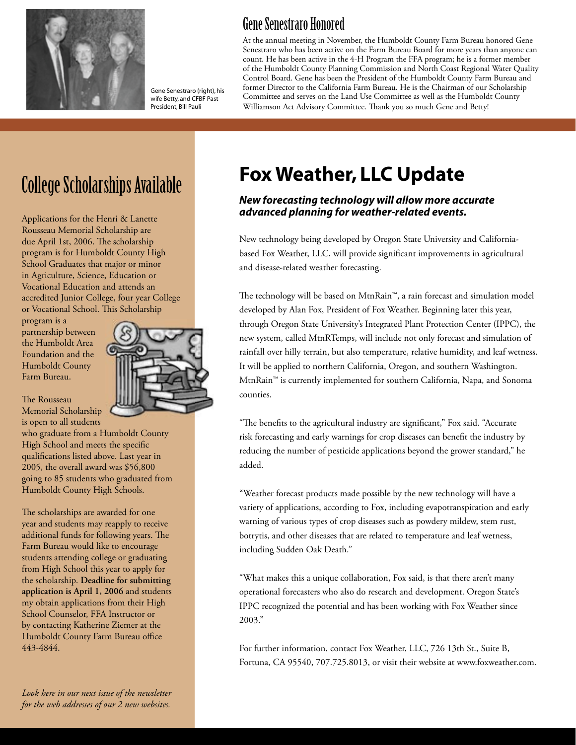

Gene Senestraro (right), his wife Betty, and CFBF Past President, Bill Pauli

#### Gene Senestraro Honored

At the annual meeting in November, the Humboldt County Farm Bureau honored Gene Senestraro who has been active on the Farm Bureau Board for more years than anyone can count. He has been active in the 4-H Program the FFA program; he is a former member of the Humboldt County Planning Commission and North Coast Regional Water Quality Control Board. Gene has been the President of the Humboldt County Farm Bureau and former Director to the California Farm Bureau. He is the Chairman of our Scholarship Committee and serves on the Land Use Committee as well as the Humboldt County Williamson Act Advisory Committee. Thank you so much Gene and Betty!

Applications for the Henri & Lanette Rousseau Memorial Scholarship are due April 1st, 2006. The scholarship program is for Humboldt County High School Graduates that major or minor in Agriculture, Science, Education or Vocational Education and attends an accredited Junior College, four year College or Vocational School. This Scholarship

program is a partnership between the Humboldt Area Foundation and the Humboldt County Farm Bureau.

The Rousseau Memorial Scholarship is open to all students

who graduate from a Humboldt County High School and meets the specific qualifications listed above. Last year in 2005, the overall award was \$56,800 going to 85 students who graduated from Humboldt County High Schools.

The scholarships are awarded for one year and students may reapply to receive additional funds for following years. The Farm Bureau would like to encourage students attending college or graduating from High School this year to apply for the scholarship. **Deadline for submitting application is April 1, 2006** and students my obtain applications from their High School Counselor, FFA Instructor or by contacting Katherine Ziemer at the Humboldt County Farm Bureau office 443-4844.



# College Scholarships Available **Fox Weather, LLC Update**

#### *New forecasting technology will allow more accurate advanced planning for weather-related events.*

New technology being developed by Oregon State University and Californiabased Fox Weather, LLC, will provide significant improvements in agricultural and disease-related weather forecasting.

The technology will be based on MtnRain™, a rain forecast and simulation model developed by Alan Fox, President of Fox Weather. Beginning later this year, through Oregon State University's Integrated Plant Protection Center (IPPC), the new system, called MtnRTemps, will include not only forecast and simulation of rainfall over hilly terrain, but also temperature, relative humidity, and leaf wetness. It will be applied to northern California, Oregon, and southern Washington. MtnRain™ is currently implemented for southern California, Napa, and Sonoma counties.

"The benefits to the agricultural industry are significant," Fox said. "Accurate risk forecasting and early warnings for crop diseases can benefit the industry by reducing the number of pesticide applications beyond the grower standard," he added.

"Weather forecast products made possible by the new technology will have a variety of applications, according to Fox, including evapotranspiration and early warning of various types of crop diseases such as powdery mildew, stem rust, botrytis, and other diseases that are related to temperature and leaf wetness, including Sudden Oak Death."

"What makes this a unique collaboration, Fox said, is that there aren't many operational forecasters who also do research and development. Oregon State's IPPC recognized the potential and has been working with Fox Weather since 2003."

For further information, contact Fox Weather, LLC, 726 13th St., Suite B, Fortuna, CA 95540, 707.725.8013, or visit their website at www.foxweather.com.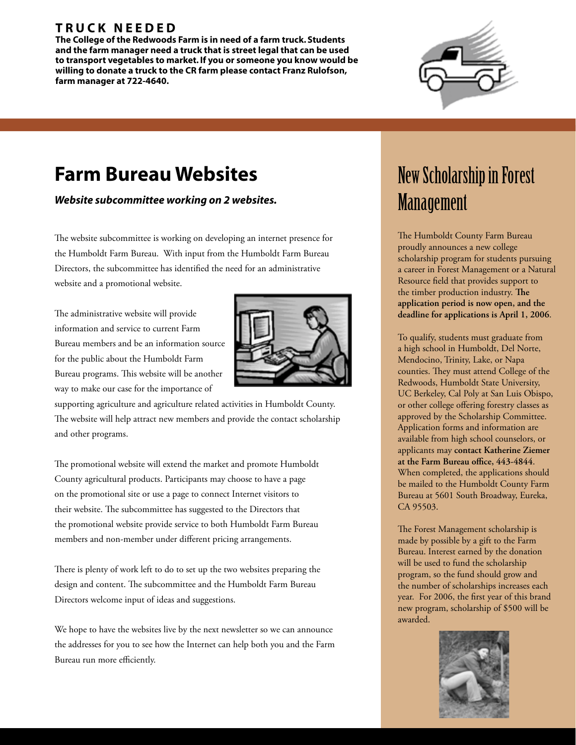#### **T R U C K N E E D E D**

**The College of the Redwoods Farm is in need of a farm truck. Students and the farm manager need a truck that is street legal that can be used to transport vegetables to market. If you or someone you know would be willing to donate a truck to the CR farm please contact Franz Rulofson, farm manager at 722-4640.**



## **Farm Bureau Websites**

*Website subcommittee working on 2 websites.*

The website subcommittee is working on developing an internet presence for the Humboldt Farm Bureau. With input from the Humboldt Farm Bureau Directors, the subcommittee has identified the need for an administrative website and a promotional website.

The administrative website will provide information and service to current Farm Bureau members and be an information source for the public about the Humboldt Farm Bureau programs. This website will be another way to make our case for the importance of



supporting agriculture and agriculture related activities in Humboldt County. The website will help attract new members and provide the contact scholarship and other programs.

The promotional website will extend the market and promote Humboldt County agricultural products. Participants may choose to have a page on the promotional site or use a page to connect Internet visitors to their website. The subcommittee has suggested to the Directors that the promotional website provide service to both Humboldt Farm Bureau members and non-member under different pricing arrangements.

There is plenty of work left to do to set up the two websites preparing the design and content. The subcommittee and the Humboldt Farm Bureau Directors welcome input of ideas and suggestions.

We hope to have the websites live by the next newsletter so we can announce the addresses for you to see how the Internet can help both you and the Farm Bureau run more efficiently.

## New Scholarship in Forest Management

The Humboldt County Farm Bureau proudly announces a new college scholarship program for students pursuing a career in Forest Management or a Natural Resource field that provides support to the timber production industry. The **application period is now open, and the deadline for applications is April 1, 2006**.

To qualify, students must graduate from a high school in Humboldt, Del Norte, Mendocino, Trinity, Lake, or Napa counties. They must attend College of the Redwoods, Humboldt State University, UC Berkeley, Cal Poly at San Luis Obispo, or other college offering forestry classes as approved by the Scholarship Committee. Application forms and information are available from high school counselors, or applicants may **contact Katherine Ziemer**  at the Farm Bureau office, 443-4844. When completed, the applications should be mailed to the Humboldt County Farm Bureau at 5601 South Broadway, Eureka, CA 95503.

The Forest Management scholarship is made by possible by a gift to the Farm Bureau. Interest earned by the donation will be used to fund the scholarship program, so the fund should grow and the number of scholarships increases each year. For 2006, the first year of this brand new program, scholarship of \$500 will be awarded.